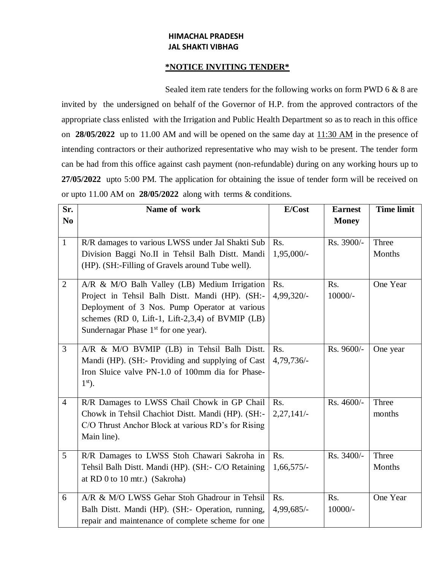## **HIMACHAL PRADESH JAL SHAKTI VIBHAG**

## **\*NOTICE INVITING TENDER\***

Sealed item rate tenders for the following works on form PWD 6 & 8 are invited by the undersigned on behalf of the Governor of H.P. from the approved contractors of the appropriate class enlisted with the Irrigation and Public Health Department so as to reach in this office on **28/05/2022** up to 11.00 AM and will be opened on the same day at 11:30 AM in the presence of intending contractors or their authorized representative who may wish to be present. The tender form can be had from this office against cash payment (non-refundable) during on any working hours up to **27/05/2022** upto 5:00 PM. The application for obtaining the issue of tender form will be received on or upto 11.00 AM on **28/05/2022** along with terms & conditions.

| Sr.            | Name of work                                                                                                                                                                                                                                                | E/Cost              | <b>Earnest</b>   | <b>Time limit</b> |
|----------------|-------------------------------------------------------------------------------------------------------------------------------------------------------------------------------------------------------------------------------------------------------------|---------------------|------------------|-------------------|
| N <sub>0</sub> |                                                                                                                                                                                                                                                             |                     | <b>Money</b>     |                   |
| $\mathbf{1}$   | R/R damages to various LWSS under Jal Shakti Sub<br>Division Baggi No.II in Tehsil Balh Distt. Mandi                                                                                                                                                        | Rs.<br>1,95,000/-   | Rs. 3900/-       | Three<br>Months   |
|                | (HP). (SH:-Filling of Gravels around Tube well).                                                                                                                                                                                                            |                     |                  |                   |
| $\overline{2}$ | A/R & M/O Balh Valley (LB) Medium Irrigation<br>Project in Tehsil Balh Distt. Mandi (HP). (SH:-<br>Deployment of 3 Nos. Pump Operator at various<br>schemes (RD $0$ , Lift-1, Lift-2,3,4) of BVMIP (LB)<br>Sundernagar Phase 1 <sup>st</sup> for one year). | Rs.<br>4,99,320/-   | Rs.<br>$10000/-$ | One Year          |
| 3              | A/R & M/O BVMIP (LB) in Tehsil Balh Distt.<br>Mandi (HP). (SH:- Providing and supplying of Cast<br>Iron Sluice valve PN-1.0 of 100mm dia for Phase-<br>$1st$ .                                                                                              | Rs.<br>4,79,736/-   | Rs. 9600/-       | One year          |
| $\overline{4}$ | R/R Damages to LWSS Chail Chowk in GP Chail<br>Chowk in Tehsil Chachiot Distt. Mandi (HP). (SH:-<br>C/O Thrust Anchor Block at various RD's for Rising<br>Main line).                                                                                       | Rs.<br>$2,27,141/-$ | Rs. 4600/-       | Three<br>months   |
| 5              | R/R Damages to LWSS Stoh Chawari Sakroha in<br>Tehsil Balh Distt. Mandi (HP). (SH:- C/O Retaining<br>at RD 0 to 10 mtr.) (Sakroha)                                                                                                                          | Rs.<br>$1,66,575/-$ | Rs. 3400/-       | Three<br>Months   |
| 6              | A/R & M/O LWSS Gehar Stoh Ghadrour in Tehsil<br>Balh Distt. Mandi (HP). (SH:- Operation, running,<br>repair and maintenance of complete scheme for one                                                                                                      | Rs.<br>4,99,685/-   | Rs.<br>$10000/-$ | One Year          |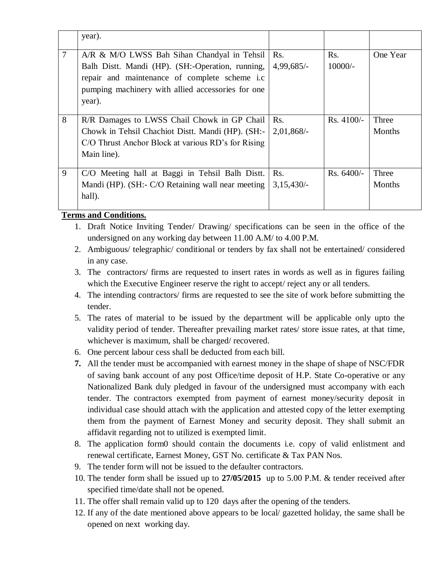|   | year).                                                                                                                                                                                                          |                     |                  |                        |
|---|-----------------------------------------------------------------------------------------------------------------------------------------------------------------------------------------------------------------|---------------------|------------------|------------------------|
| 7 | A/R & M/O LWSS Bah Sihan Chandyal in Tehsil<br>Balh Distt. Mandi (HP). (SH:-Operation, running,<br>repair and maintenance of complete scheme i.c<br>pumping machinery with allied accessories for one<br>year). | Rs.<br>$4,99,685/-$ | Rs.<br>$10000/-$ | One Year               |
| 8 | R/R Damages to LWSS Chail Chowk in GP Chail<br>Chowk in Tehsil Chachiot Distt. Mandi (HP). (SH:-<br>C/O Thrust Anchor Block at various RD's for Rising<br>Main line).                                           | Rs.<br>$2,01,868/-$ | $Rs.4100/-$      | Three<br>Months        |
| 9 | C/O Meeting hall at Baggi in Tehsil Balh Distt.<br>Mandi (HP). (SH:- C/O Retaining wall near meeting<br>hall).                                                                                                  | Rs.<br>$3,15,430/-$ | $Rs. 6400/-$     | Three<br><b>Months</b> |

## **Terms and Conditions.**

- 1. Draft Notice Inviting Tender/ Drawing/ specifications can be seen in the office of the undersigned on any working day between 11.00 A.M/ to 4.00 P.M.
- 2. Ambiguous/ telegraphic/ conditional or tenders by fax shall not be entertained/ considered in any case.
- 3. The contractors/ firms are requested to insert rates in words as well as in figures failing which the Executive Engineer reserve the right to accept/ reject any or all tenders.
- 4. The intending contractors/ firms are requested to see the site of work before submitting the tender.
- 5. The rates of material to be issued by the department will be applicable only upto the validity period of tender. Thereafter prevailing market rates/ store issue rates, at that time, whichever is maximum, shall be charged/ recovered.
- 6. One percent labour cess shall be deducted from each bill.
- **7.** All the tender must be accompanied with earnest money in the shape of shape of NSC/FDR of saving bank account of any post Office/time deposit of H.P. State Co-operative or any Nationalized Bank duly pledged in favour of the undersigned must accompany with each tender. The contractors exempted from payment of earnest money/security deposit in individual case should attach with the application and attested copy of the letter exempting them from the payment of Earnest Money and security deposit. They shall submit an affidavit regarding not to utilized is exempted limit.
- 8. The application form0 should contain the documents i.e. copy of valid enlistment and renewal certificate, Earnest Money, GST No. certificate & Tax PAN Nos.
- 9. The tender form will not be issued to the defaulter contractors.
- 10. The tender form shall be issued up to **27/05/2015** up to 5.00 P.M. & tender received after specified time/date shall not be opened.
- 11. The offer shall remain valid up to 120 days after the opening of the tenders.
- 12. If any of the date mentioned above appears to be local/ gazetted holiday, the same shall be opened on next working day.